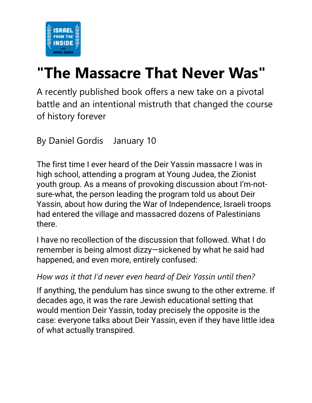

# **["The Massacre That Never Was"](https://email.mg2.substack.com/c/eJxVkkuPmzAUhX9N2AX5wXPBIp00LVUhM9MkmswGGfsSnIBhsBlCfn2dyaaV_JDO0T3X8nc5M3DqhjnpO22c-1GYuYdEwaQbMAYGZ9QwFFIkOERhRHHkiMQTOPIjR-qiGgBaJpvEDCM4_Vg2kjMjO3WvIHFAUejUCYOqRAzTkPiCkZKVKPBEKTgFVEYBVI_GbBQSFIcEPmGYOwVOk9TG9HpBVwuysUswJaGx7xVSu3ostWH84vKutV5vt6lh2TKtGR9gaWpmluqetZyYzdiY7gJqQdcw_8KcHOY30lzSc3fNbyu6XWfX7dMk-Y_4JjZx__6UBvn66GW3736-znTaNrWwWrY7omx3um53nGbzJNlbfrMZkv88yN-71M_P2ZTPqU5Vjo8yDVL17ZPTF8PbQ32kr31JPFm9uM_N1UTD9t3q7PBHnF-D9ccx1BDt_bzoUbAvVs898oID3TsyIYgQhDHCFFnNJW7IkAe0CisfxSHBnlvrXmnMPhYeak_kv69xhoRNXd2UMJysbbRUTH4ZllZh73ZU0swFKFY2IB4gzWMevtAWJ1Aw2DkRBTMJDjwc4TgMPRLhBzdL2gvsZMQedWxn0dkqlfzL6i-c99Bo)**

A recently published book offers a new take on a pivotal battle and an intentional mistruth that changed the course of history forever

By Daniel Gordis January 10

The first time I ever heard of the Deir Yassin massacre I was in high school, attending a program at Young Judea, the Zionist youth group. As a means of provoking discussion about I'm-notsure-what, the person leading the program told us about Deir Yassin, about how during the War of Independence, Israeli troops had entered the village and massacred dozens of Palestinians there.

I have no recollection of the discussion that followed. What I do remember is being almost dizzy—sickened by what he said had happened, and even more, entirely confused:

#### *How was it that I'd never even heard of Deir Yassin until then?*

If anything, the pendulum has since swung to the other extreme. If decades ago, it was the rare Jewish educational setting that would mention Deir Yassin, today precisely the opposite is the case: everyone talks about Deir Yassin, even if they have little idea of what actually transpired.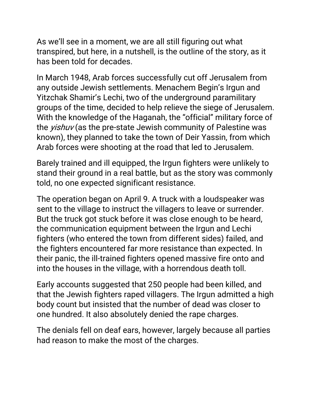As we'll see in a moment, we are all still figuring out what transpired, but here, in a nutshell, is the outline of the story, as it has been told for decades.

In March 1948, Arab forces successfully cut off Jerusalem from any outside Jewish settlements. Menachem Begin's Irgun and Yitzchak Shamir's Lechi, two of the underground paramilitary groups of the time, decided to help relieve the siege of Jerusalem. With the knowledge of the Haganah, the "official" military force of the *yishuv* (as the pre-state Jewish community of Palestine was known), they planned to take the town of Deir Yassin, from which Arab forces were shooting at the road that led to Jerusalem.

Barely trained and ill equipped, the Irgun fighters were unlikely to stand their ground in a real battle, but as the story was commonly told, no one expected significant resistance.

The operation began on April 9. A truck with a loudspeaker was sent to the village to instruct the villagers to leave or surrender. But the truck got stuck before it was close enough to be heard, the communication equipment between the Irgun and Lechi fighters (who entered the town from different sides) failed, and the fighters encountered far more resistance than expected. In their panic, the ill-trained fighters opened massive fire onto and into the houses in the village, with a horrendous death toll.

Early accounts suggested that 250 people had been killed, and that the Jewish fighters raped villagers. The Irgun admitted a high body count but insisted that the number of dead was closer to one hundred. It also absolutely denied the rape charges.

The denials fell on deaf ears, however, largely because all parties had reason to make the most of the charges.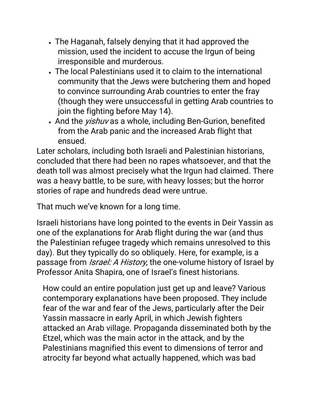- The Haganah, falsely denying that it had approved the mission, used the incident to accuse the Irgun of being irresponsible and murderous.
- The local Palestinians used it to claim to the international community that the Jews were butchering them and hoped to convince surrounding Arab countries to enter the fray (though they were unsuccessful in getting Arab countries to join the fighting before May 14).
- And the *yishuv* as a whole, including Ben-Gurion, benefited from the Arab panic and the increased Arab flight that ensued.

Later scholars, including both Israeli and Palestinian historians, concluded that there had been no rapes whatsoever, and that the death toll was almost precisely what the Irgun had claimed. There was a heavy battle, to be sure, with heavy losses; but the horror stories of rape and hundreds dead were untrue.

That much we've known for a long time.

Israeli historians have long pointed to the events in Deir Yassin as one of the explanations for Arab flight during the war (and thus the Palestinian refugee tragedy which remains unresolved to this day). But they typically do so obliquely. Here, for example, is a passage from *Israel: A History*, the one-volume history of Israel by Professor Anita Shapira, one of Israel's finest historians.

How could an entire population just get up and leave? Various contemporary explanations have been proposed. They include fear of the war and fear of the Jews, particularly after the Deir Yassin massacre in early April, in which Jewish fighters attacked an Arab village. Propaganda disseminated both by the Etzel, which was the main actor in the attack, and by the Palestinians magnified this event to dimensions of terror and atrocity far beyond what actually happened, which was bad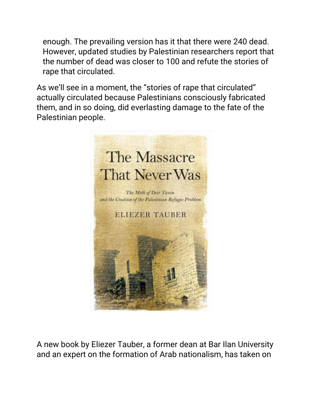enough. The prevailing version has it that there were 240 dead. However, updated studies by Palestinian researchers report that the number of dead was closer to 100 and refute the stories of rape that circulated.

As we'll see in a moment, the "stories of rape that circulated" actually circulated because Palestinians consciously fabricated them, and in so doing, did everlasting damage to the fate of the Palestinian people.



A [new book](https://email.mg2.substack.com/c/eJwlkUFvhCAQhX_NclsDiIAHDr301p6a9GhGmF1JFSxgjf31xUomM4GXlxe-sVDwGdNh1pgLOdtQjhVNwD3PWAomsmVMg3eGKap0yzRxRjimO018Hh4JcQE_m5I2JOs2zt5C8TGcDt7LlioyGXROCmk1V1TWI8ZR6h6p47ZToDVcwbA5j8GiwR9MRwxIZjOVsuZb-3Ljr7X2fW9ggd8YGhuX-vAGOYNNeP-YoNzfT-P9E3JV3Fob63ouRSdaVS_EG045p4xR1lIqZMMbBVRg-1CPjvaKM9FMeQ2ZwfdN0OXJm7yNuYD9OuNIMrDHaR4xPatcsg_g_4X67aHOZQu-HAMGGGd0F5Fygf1nNDwxYKrA3QDFMCmYZr1Sgmt2AajIhKyIe9GSmuxidQXjIHic65Kcz3_DIo7V) by Eliezer Tauber, a former dean at Bar Ilan University and an expert on the formation of Arab nationalism, has taken on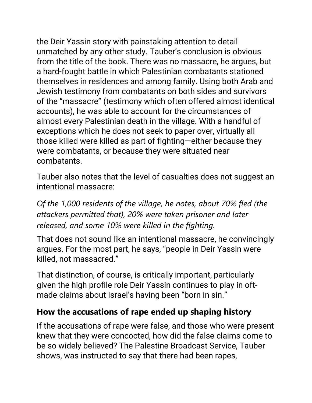the Deir Yassin story with painstaking attention to detail unmatched by any other study. Tauber's conclusion is obvious from the title of the book. There was no massacre, he argues, but a hard-fought battle in which Palestinian combatants stationed themselves in residences and among family. Using both Arab and Jewish testimony from combatants on both sides and survivors of the "massacre" (testimony which often offered almost identical accounts), he was able to account for the circumstances of almost every Palestinian death in the village. With a handful of exceptions which he does not seek to paper over, virtually all those killed were killed as part of fighting—either because they were combatants, or because they were situated near combatants.

Tauber also notes that the level of casualties does not suggest an intentional massacre:

*Of the 1,000 residents of the village, he notes, about 70% fled (the attackers permitted that), 20% were taken prisoner and later released, and some 10% were killed in the fighting.*

That does not sound like an intentional massacre, he convincingly argues. For the most part, he says, "people in Deir Yassin were killed, not massacred."

That distinction, of course, is critically important, particularly given the high profile role Deir Yassin continues to play in oftmade claims about Israel's having been "born in sin."

## **How the accusations of rape ended up shaping history**

If the accusations of rape were false, and those who were present knew that they were concocted, how did the false claims come to be so widely believed? The Palestine Broadcast Service, Tauber shows, was instructed to say that there had been rapes,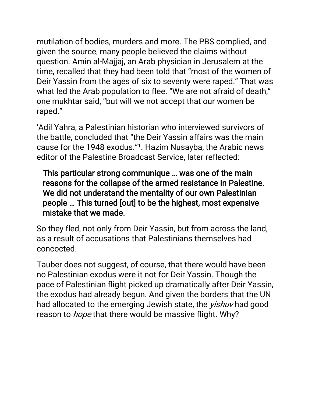mutilation of bodies, murders and more. The PBS complied, and given the source, many people believed the claims without question. Amin al-Majjaj, an Arab physician in Jerusalem at the time, recalled that they had been told that "most of the women of Deir Yassin from the ages of six to seventy were raped." That was what led the Arab population to flee. "We are not afraid of death," one mukhtar said, "but will we not accept that our women be raped."

'Adil Yahra, a Palestinian historian who interviewed survivors of the battle, concluded that "the Deir Yassin affairs was the main cause for the 1948 exodus."<sup>1</sup>. Hazim Nusayba, the Arabic news editor of the Palestine Broadcast Service, later reflected:

This particular strong communique … was one of the main reasons for the collapse of the armed resistance in Palestine. We did not understand the mentality of our own Palestinian people … This turned [out] to be the highest, most expensive mistake that we made.

So they fled, not only from Deir Yassin, but from across the land, as a result of accusations that Palestinians themselves had concocted.

Tauber does not suggest, of course, that there would have been no Palestinian exodus were it not for Deir Yassin. Though the pace of Palestinian flight picked up dramatically after Deir Yassin, the exodus had already begun. And given the borders that the UN had allocated to the emerging Jewish state, the *yishuv* had good reason to *hope* that there would be massive flight. Why?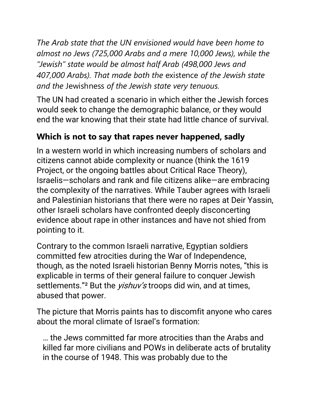*The Arab state that the UN envisioned would have been home to almost no Jews (725,000 Arabs and a mere 10,000 Jews), while the "Jewish" state would be almost half Arab (498,000 Jews and 407,000 Arabs). That made both the* existence *of the Jewish state and the* Jewishness *of the Jewish state very tenuous.*

The UN had created a scenario in which either the Jewish forces would seek to change the demographic balance, or they would end the war knowing that their state had little chance of survival.

### **Which is not to say that rapes never happened, sadly**

In a western world in which increasing numbers of scholars and citizens cannot abide complexity or nuance (think the 1619 Project, or the ongoing battles about Critical Race Theory), Israelis—scholars and rank and file citizens alike—are embracing the complexity of the narratives. While Tauber agrees with Israeli and Palestinian historians that there were no rapes at Deir Yassin, other Israeli scholars have confronted deeply disconcerting evidence about rape in other instances and have not shied from pointing to it.

Contrary to the common Israeli narrative, Egyptian soldiers committed few atrocities during the War of Independence, though, as the noted Israeli historian Benny Morris notes, "this is explicable in terms of their general failure to conquer Jewish settlements."<sup>2</sup> But the *yishuv's* troops did win, and at times, abused that power.

The picture that Morris paints has to discomfit anyone who cares about the moral climate of Israel's formation:

… the Jews committed far more atrocities than the Arabs and killed far more civilians and POWs in deliberate acts of brutality in the course of 1948. This was probably due to the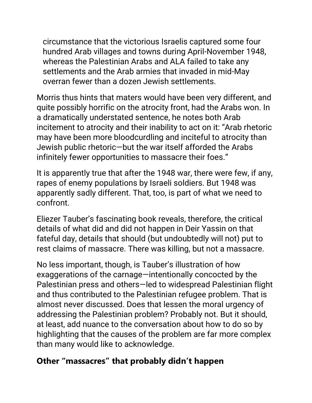circumstance that the victorious Israelis captured some four hundred Arab villages and towns during April-November 1948, whereas the Palestinian Arabs and ALA failed to take any settlements and the Arab armies that invaded in mid-May overran fewer than a dozen Jewish settlements.

Morris thus hints that maters would have been very different, and quite possibly horrific on the atrocity front, had the Arabs won. In a dramatically understated sentence, he notes both Arab incitement to atrocity and their inability to act on it: "Arab rhetoric may have been more bloodcurdling and inciteful to atrocity than Jewish public rhetoric—but the war itself afforded the Arabs infinitely fewer opportunities to massacre their foes."

It is apparently true that after the 1948 war, there were few, if any, rapes of enemy populations by Israeli soldiers. But 1948 was apparently sadly different. That, too, is part of what we need to confront.

Eliezer Tauber's fascinating book reveals, therefore, the critical details of what did and did not happen in Deir Yassin on that fateful day, details that should (but undoubtedly will not) put to rest claims of massacre. There was killing, but not a massacre.

No less important, though, is Tauber's illustration of how exaggerations of the carnage—intentionally concocted by the Palestinian press and others—led to widespread Palestinian flight and thus contributed to the Palestinian refugee problem. That is almost never discussed. Does that lessen the moral urgency of addressing the Palestinian problem? Probably not. But it should, at least, add nuance to the conversation about how to do so by highlighting that the causes of the problem are far more complex than many would like to acknowledge.

#### **Other "massacres" that probably didn't happen**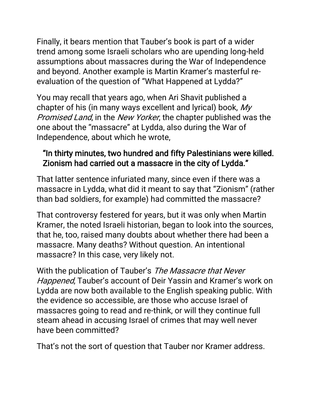Finally, it bears mention that Tauber's book is part of a wider trend among some Israeli scholars who are upending long-held assumptions about massacres during the War of Independence and beyond. Another example is Martin Kramer's masterful reevaluation of the question of "[What Happened at Lydda?](https://email.mg2.substack.com/c/eJwlkMGOhCAMhp9muI0BZAQPHPayr2GqVCWL4ALuxHn67YwJ6Q-0zd9-E1RcUj7tnkpl7zDUc0cb8VkC1oqZHQXz4J0VmmvTCsOcVU6Yh2G-DHNG3MAHW_OBbD_G4CeoPsV3h-y7lmu22lYC1_Pco3F8ROxGJ4D3ThoJoPoHXMZwOI9xQot_mM8UkQW71rqXW_t1k990tlTATxss8PIRmylt9ImlwEl6xOlaxr_Q0VtyoUi4pvBcod5X2HeM6O50D6dzQAnmreSSSgUXLeeqa2SjgStsZz0_eK-lUM1a9lgE_N4U3xbZlGMsFaaftz_LFp5pDSPmhdK1-Aj-kyAWA-l2RF_PASOMAd2FqV60P-CGhUbKNLgboFrRKWFEr7WSRlxUiKPqiHuvWkbOLlFXtA6ix0DLOl_-AUGRmDs)"

You may recall that years ago, when Ari Shavit published a chapter of his (in many ways excellent and lyrical) book, My Promised Land, in the [New Yorker](https://email.mg2.substack.com/c/eJwtkc2OhCAMx59muK2hiKIHDnvZ1zAIVckouIBr3KffOrMJaZt-5N_-sKbgHNOl95gLu81Qrh11wDOvWAomdmRMg3caFFddDR1zWjromo75PEwJcTN-1SUdyPZjXL01xcdwT4i-rbliC_WP7dSAtU0z2W6So5W2qZVD27YCLLyFzeE8BosafzBdMSBb9VLKnh_150N80TvPs6LNrpiemCobN8ptZja_PiCFgkNNDvgdA5n1cs58QC9pVy24oAagHs5lW4lKGS6xntTU8F4JkNWS95DBfD8k32ZR5WPMxdjnLcSSNmdc1hHTTOWSfTD-VaCbB_LbEXy5BgxmXNG9cZQ31RegYcaAiWi7wRQNrYQOeqWk6P6vJ16yJb69rBkpu0hTQTsTPK70Q87nP4CNjhI), the chapter published was the one about the "massacre" at Lydda, also during the War of Independence, about which he wrote,

### "In thirty minutes, two hundred and fifty Palestinians were killed. Zionism had carried out a massacre in the city of Lydda."

That latter sentence infuriated many, since even if there was a massacre in Lydda, what did it meant to say that "Zionism" (rather than bad soldiers, for example) had committed the massacre?

That controversy festered for years, but it was only when Martin Kramer, the noted Israeli historian, began to look into the sources, that he, too, raised many doubts about whether there had been a massacre. Many deaths? Without question. An intentional massacre? In this case, very likely not.

With the publication of Tauber's The Massacre that Never Happened, Tauber's account of Deir Yassin and Kramer's work on Lydda are now both available to the English speaking public. With the evidence so accessible, are those who accuse Israel of massacres going to read and re-think, or will they continue full steam ahead in accusing Israel of crimes that may well never have been committed?

That's not the sort of question that Tauber nor Kramer address.